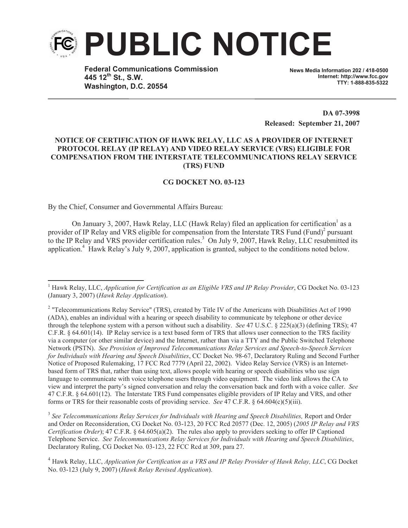

**Federal Communications Commission 445 12th St., S.W. Washington, D.C. 20554**

**News Media Information 202 / 418-0500 Internet: http://www.fcc.gov TTY: 1-888-835-5322**

**DA 07-3998 Released: September 21, 2007**

## **NOTICE OF CERTIFICATION OF HAWK RELAY, LLC AS A PROVIDER OF INTERNET PROTOCOL RELAY (IP RELAY) AND VIDEO RELAY SERVICE (VRS) ELIGIBLE FOR COMPENSATION FROM THE INTERSTATE TELECOMMUNICATIONS RELAY SERVICE (TRS) FUND**

## **CG DOCKET NO. 03-123**

By the Chief, Consumer and Governmental Affairs Bureau:

On January 3, 2007, Hawk Relay, LLC (Hawk Relay) filed an application for certification as a provider of IP Relay and VRS eligible for compensation from the Interstate TRS Fund (Fund)<sup>2</sup> pursuant to the IP Relay and VRS provider certification rules. <sup>3</sup> On July 9, 2007, Hawk Relay, LLC resubmitted its application.<sup>4</sup> Hawk Relay's July 9, 2007, application is granted, subject to the conditions noted below.

<sup>3</sup> See Telecommunications Relay Services for Individuals with Hearing and Speech Disabilities, Report and Order and Order on Reconsideration, CG Docket No. 03-123, 20 FCC Rcd 20577 (Dec. 12, 2005) (*2005 IP Relay and VRS Certification Order*); 47 C.F.R. § 64.605(a)(2). The rules also apply to providers seeking to offer IP Captioned Telephone Service. *See Telecommunications Relay Services for Individuals with Hearing and Speech Disabilities*, Declaratory Ruling, CG Docket No. 03-123, 22 FCC Rcd at 309, para 27.

<sup>1</sup> Hawk Relay, LLC, *Application for Certification as an Eligible VRS and IP Relay Provider*, CG Docket No. 03-123 (January 3, 2007) (*Hawk Relay Application*).

<sup>&</sup>lt;sup>2</sup> "Telecommunications Relay Service" (TRS), created by Title IV of the Americans with Disabilities Act of 1990 (ADA), enables an individual with a hearing or speech disability to communicate by telephone or other device through the telephone system with a person without such a disability. *See* 47 U.S.C. § 225(a)(3) (defining TRS); 47 C.F.R. § 64.601(14). IP Relay service is a text based form of TRS that allows user connection to the TRS facility via a computer (or other similar device) and the Internet, rather than via a TTY and the Public Switched Telephone Network (PSTN). *See Provision of Improved Telecommunications Relay Services and Speech-to-Speech Services for Individuals with Hearing and Speech Disabilities*, CC Docket No. 98-67, Declaratory Ruling and Second Further Notice of Proposed Rulemaking, 17 FCC Rcd 7779 (April 22, 2002). Video Relay Service (VRS) is an Internetbased form of TRS that, rather than using text, allows people with hearing or speech disabilities who use sign language to communicate with voice telephone users through video equipment. The video link allows the CA to view and interpret the party's signed conversation and relay the conversation back and forth with a voice caller. *See* 47 C.F.R. § 64.601(12). The Interstate TRS Fund compensates eligible providers of IP Relay and VRS, and other forms or TRS for their reasonable costs of providing service. *See* 47 C.F.R. § 64.604(c)(5)(iii).

<sup>4</sup> Hawk Relay, LLC, *Application for Certification as a VRS and IP Relay Provider of Hawk Relay, LLC*, CG Docket No. 03-123 (July 9, 2007) (*Hawk Relay Revised Application*).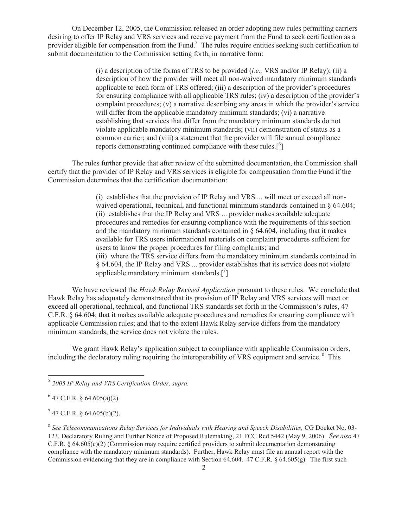On December 12, 2005, the Commission released an order adopting new rules permitting carriers desiring to offer IP Relay and VRS services and receive payment from the Fund to seek certification as a provider eligible for compensation from the Fund.<sup>5</sup> The rules require entities seeking such certification to submit documentation to the Commission setting forth, in narrative form:

> (i) a description of the forms of TRS to be provided (*i.e.,* VRS and/or IP Relay); (ii) a description of how the provider will meet all non-waived mandatory minimum standards applicable to each form of TRS offered; (iii) a description of the provider's procedures for ensuring compliance with all applicable TRS rules; (iv) a description of the provider's complaint procedures; (v) a narrative describing any areas in which the provider's service will differ from the applicable mandatory minimum standards; (vi) a narrative establishing that services that differ from the mandatory minimum standards do not violate applicable mandatory minimum standards; (vii) demonstration of status as a common carrier; and (viii) a statement that the provider will file annual compliance reports demonstrating continued compliance with these rules.<sup>[6</sup>]

The rules further provide that after review of the submitted documentation, the Commission shall certify that the provider of IP Relay and VRS services is eligible for compensation from the Fund if the Commission determines that the certification documentation:

> (i) establishes that the provision of IP Relay and VRS ... will meet or exceed all nonwaived operational, technical, and functional minimum standards contained in § 64.604; (ii) establishes that the IP Relay and VRS ... provider makes available adequate procedures and remedies for ensuring compliance with the requirements of this section and the mandatory minimum standards contained in  $\S$  64.604, including that it makes available for TRS users informational materials on complaint procedures sufficient for users to know the proper procedures for filing complaints; and (iii) where the TRS service differs from the mandatory minimum standards contained in § 64.604, the IP Relay and VRS ... provider establishes that its service does not violate applicable mandatory minimum standards. $[^{7}]$

We have reviewed the *Hawk Relay Revised Application* pursuant to these rules. We conclude that Hawk Relay has adequately demonstrated that its provision of IP Relay and VRS services will meet or exceed all operational, technical, and functional TRS standards set forth in the Commission's rules, 47 C.F.R. § 64.604; that it makes available adequate procedures and remedies for ensuring compliance with applicable Commission rules; and that to the extent Hawk Relay service differs from the mandatory minimum standards, the service does not violate the rules.

We grant Hawk Relay's application subject to compliance with applicable Commission orders, including the declaratory ruling requiring the interoperability of VRS equipment and service.<sup>8</sup> This

 $7$  47 C.F.R. § 64.605(b)(2).

<sup>5</sup> *2005 IP Relay and VRS Certification Order, supra.*

 $6$  47 C.F.R. § 64.605(a)(2).

<sup>&</sup>lt;sup>8</sup> See Telecommunications Relay Services for Individuals with Hearing and Speech Disabilities, CG Docket No. 03-123, Declaratory Ruling and Further Notice of Proposed Rulemaking, 21 FCC Rcd 5442 (May 9, 2006). *See also* 47 C.F.R. § 64.605(e)(2) (Commission may require certified providers to submit documentation demonstrating compliance with the mandatory minimum standards). Further, Hawk Relay must file an annual report with the Commission evidencing that they are in compliance with Section 64.604. 47 C.F.R. § 64.605(g). The first such